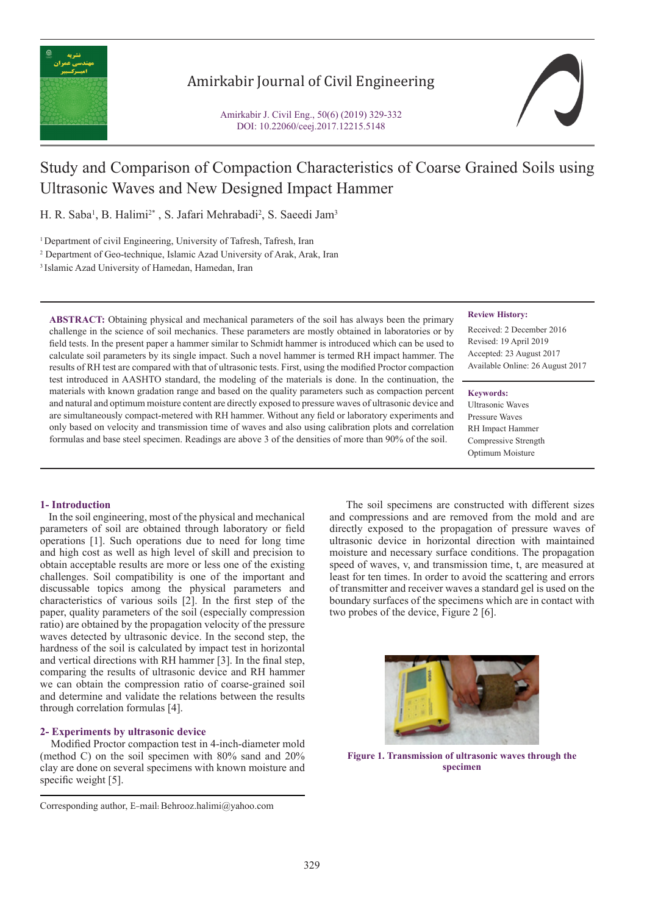

## Amirkabir Journal of Civil Engineering

Amirkabir J. Civil Eng., 50(6) (2019) 329-332 DOI: 10.22060/ceej.2017.12215.5148



# Study and Comparison of Compaction Characteristics of Coarse Grained Soils using Ultrasonic Waves and New Designed Impact Hammer

H. R. Saba<sup>1</sup>, B. Halimi<sup>2\*</sup>, S. Jafari Mehrabadi<sup>2</sup>, S. Saeedi Jam<sup>3</sup>

<sup>1</sup> Department of civil Engineering, University of Tafresh, Tafresh, Iran

2 Department of Geo-technique, Islamic Azad University of Arak, Arak, Iran

3 Islamic Azad University of Hamedan, Hamedan, Iran

**ABSTRACT:** Obtaining physical and mechanical parameters of the soil has always been the primary challenge in the science of soil mechanics. These parameters are mostly obtained in laboratories or by field tests. In the present paper a hammer similar to Schmidt hammer is introduced which can be used to calculate soil parameters by its single impact. Such a novel hammer is termed RH impact hammer. The results of RH test are compared with that of ultrasonic tests. First, using the modified Proctor compaction test introduced in AASHTO standard, the modeling of the materials is done. In the continuation, the materials with known gradation range and based on the quality parameters such as compaction percent and natural and optimum moisture content are directly exposed to pressure waves of ultrasonic device and are simultaneously compact-metered with RH hammer. Without any field or laboratory experiments and only based on velocity and transmission time of waves and also using calibration plots and correlation formulas and base steel specimen. Readings are above 3 of the densities of more than 90% of the soil.

#### **Review History:**

Received: 2 December 2016 Revised: 19 April 2019 Accepted: 23 August 2017 Available Online: 26 August 2017

#### **Keywords:**

Ultrasonic Waves Pressure Waves RH Impact Hammer Compressive Strength Optimum Moisture

### **1- Introduction**

 In the soil engineering, most of the physical and mechanical parameters of soil are obtained through laboratory or field operations [1]. Such operations due to need for long time and high cost as well as high level of skill and precision to obtain acceptable results are more or less one of the existing challenges. Soil compatibility is one of the important and discussable topics among the physical parameters and characteristics of various soils [2]. In the first step of the paper, quality parameters of the soil (especially compression ratio) are obtained by the propagation velocity of the pressure waves detected by ultrasonic device. In the second step, the hardness of the soil is calculated by impact test in horizontal and vertical directions with RH hammer [3]. In the final step, comparing the results of ultrasonic device and RH hammer we can obtain the compression ratio of coarse-grained soil and determine and validate the relations between the results through correlation formulas [4].

## **2- Experiments by ultrasonic device**

 Modified Proctor compaction test in 4-inch-diameter mold (method C) on the soil specimen with 80% sand and 20% clay are done on several specimens with known moisture and specific weight [5].

 The soil specimens are constructed with different sizes and compressions and are removed from the mold and are directly exposed to the propagation of pressure waves of ultrasonic device in horizontal direction with maintained moisture and necessary surface conditions. The propagation speed of waves, v, and transmission time, t, are measured at least for ten times. In order to avoid the scattering and errors of transmitter and receiver waves a standard gel is used on the boundary surfaces of the specimens which are in contact with two probes of the device, Figure 2 [6].



**Figure 1. Transmission of ultrasonic waves through the specimen**

Corresponding author, E-mail: Behrooz.halimi@yahoo.com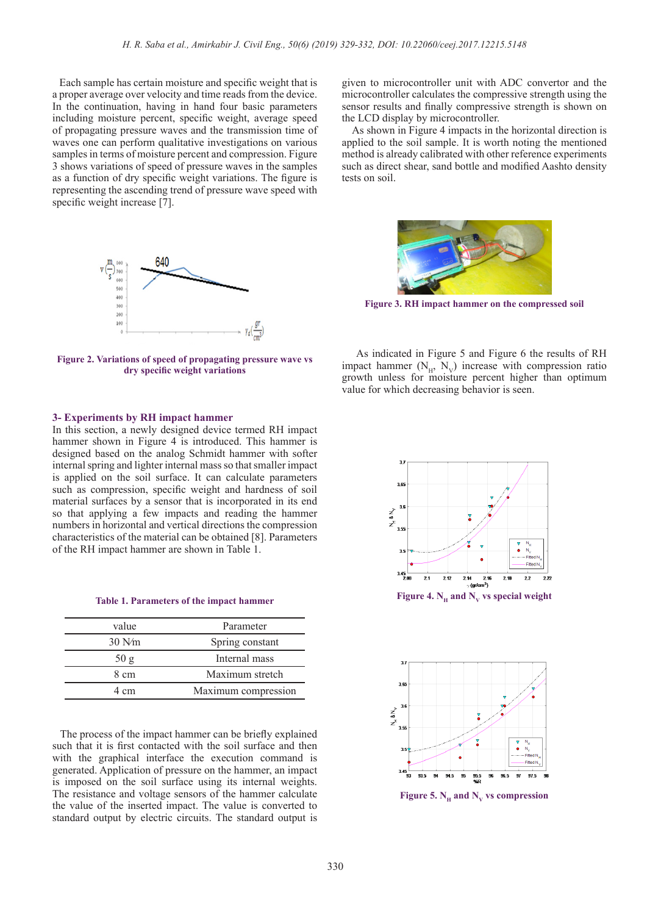Each sample has certain moisture and specific weight that is a proper average over velocity and time reads from the device. In the continuation, having in hand four basic parameters including moisture percent, specific weight, average speed of propagating pressure waves and the transmission time of waves one can perform qualitative investigations on various samples in terms of moisture percent and compression. Figure 3 shows variations of speed of pressure waves in the samples as a function of dry specific weight variations. The figure is representing the ascending trend of pressure wave speed with specific weight increase [7].



**Figure 2. Variations of speed of propagating pressure wave vs dry specific weight variations**

#### **3- Experiments by RH impact hammer**

In this section, a newly designed device termed RH impact hammer shown in Figure 4 is introduced. This hammer is designed based on the analog Schmidt hammer with softer internal spring and lighter internal mass so that smaller impact is applied on the soil surface. It can calculate parameters such as compression, specific weight and hardness of soil material surfaces by a sensor that is incorporated in its end so that applying a few impacts and reading the hammer numbers in horizontal and vertical directions the compression characteristics of the material can be obtained [8]. Parameters of the RH impact hammer are shown in Table 1.

**Table 1. Parameters of the impact hammer**

| value            | Parameter           |
|------------------|---------------------|
| $30 \text{ N/m}$ | Spring constant     |
| 50g              | Internal mass       |
| 8 cm             | Maximum stretch     |
| 4 cm             | Maximum compression |

 The process of the impact hammer can be briefly explained such that it is first contacted with the soil surface and then with the graphical interface the execution command is generated. Application of pressure on the hammer, an impact is imposed on the soil surface using its internal weights. The resistance and voltage sensors of the hammer calculate the value of the inserted impact. The value is converted to standard output by electric circuits. The standard output is

given to microcontroller unit with ADC convertor and the microcontroller calculates the compressive strength using the sensor results and finally compressive strength is shown on the LCD display by microcontroller.

 As shown in Figure 4 impacts in the horizontal direction is applied to the soil sample. It is worth noting the mentioned method is already calibrated with other reference experiments such as direct shear, sand bottle and modified Aashto density tests on soil.



**Figure 3. RH impact hammer on the compressed soil**

 As indicated in Figure 5 and Figure 6 the results of RH impact hammer  $(N_H, N_V)$  increase with compression ratio growth unless for moisture percent higher than optimum value for which decreasing behavior is seen.





**Figure 5. N<sub>u</sub> and N<sub>v</sub> vs compression**